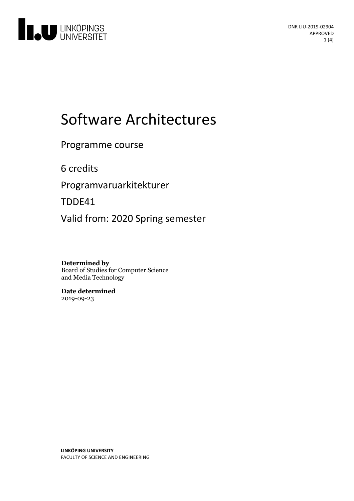

# Software Architectures

# Programme course

6 credits

Programvaruarkitekturer

TDDE41

Valid from: 2020 Spring semester

**Determined by** Board of Studies for Computer Science and Media Technology

**Date determined** 2019-09-23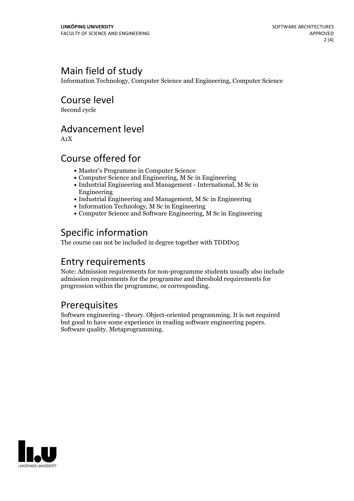# Main field of study

Information Technology, Computer Science and Engineering, Computer Science

Course level

Second cycle

# Advancement level

A1X

# Course offered for

- Master's Programme in Computer Science
- Computer Science and Engineering, M Sc in Engineering
- Industrial Engineering and Management International, M Sc in Engineering
- Industrial Engineering and Management, M Sc in Engineering
- Information Technology, M Sc in Engineering
- Computer Science and Software Engineering, M Sc in Engineering

# Specific information

The course can not be included in degree together with TDDD05

# Entry requirements

Note: Admission requirements for non-programme students usually also include admission requirements for the programme and threshold requirements for progression within the programme, or corresponding.

# Prerequisites

Software engineering - theory. Object-oriented programming. It is not required but good to have some experience in reading software engineering papers. Software quality. Metaprogramming.

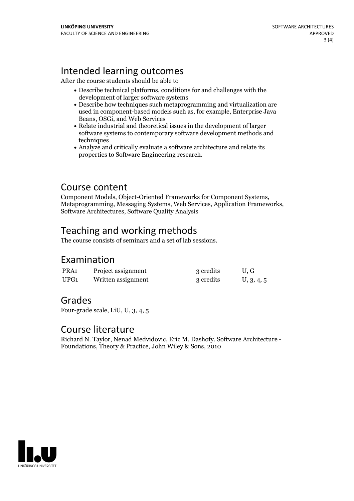# Intended learning outcomes

After the course students should be able to

- Describe technical platforms, conditions for and challenges with the development of larger software systems
- Describe how techniques such metaprogramming and virtualization are used in component-based models such as, for example, Enterprise Java Beans, OSGi, and Web Services
- Relate industrial and theoretical issues in the development of larger software systems to contemporary software development methods and techniques
- Analyze and critically evaluate a software architecture and relate its properties to Software Engineering research.

Course content<br>Component Models, Object-Oriented Frameworks for Component Systems, Metaprogramming, Messaging Systems, Web Services, Application Frameworks, Software Architectures, Software Quality Analysis

# Teaching and working methods

The course consists of seminars and a set of lab sessions.

#### Examination

| PRA1 | Project assignment | 3 credits | U.G        |
|------|--------------------|-----------|------------|
| UPG1 | Written assignment | 3 credits | U, 3, 4, 5 |

#### Grades

Four-grade scale, LiU, U, 3, 4, 5

#### Course literature

Richard N. Taylor, Nenad Medvidovic, Eric M. Dashofy. Software Architecture - Foundations, Theory & Practice, John Wiley & Sons, <sup>2010</sup>